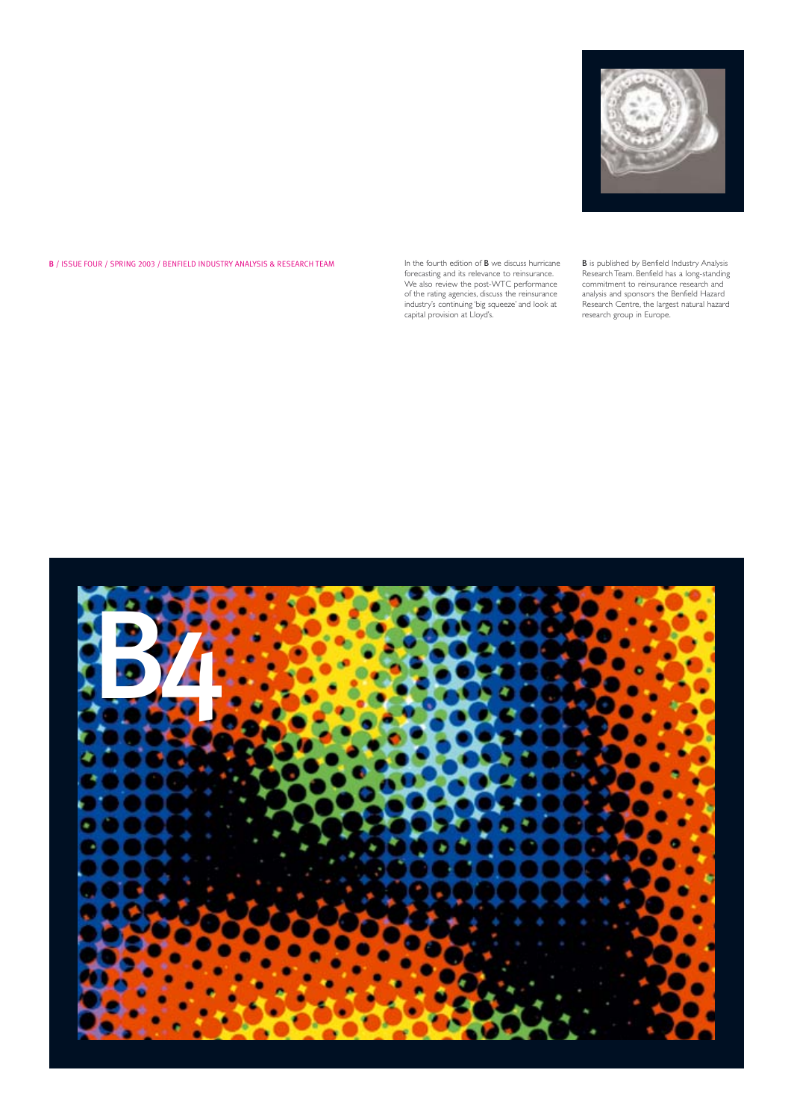

# B / ISSUE FOUR / SPRING 2003 / BENFIELD INDUSTRY ANALYSIS & RESEARCH TEAM

In the fourth edition of **B** we discuss hurricane<br>forecasting and its relevance to reinsurance.<br>We also review the post-WTC performance<br>of the rating agencies, discuss the reinsurance<br>industry's continuing 'big squeeze' an

**B** is published by Benfield Industry Analysis<br>Research Team. Benfield has a long-standing<br>commitment to reinsurance research and<br>analysis and sponsors the Benfield Hazard<br>Research Centre, the largest natural hazard<br>resear

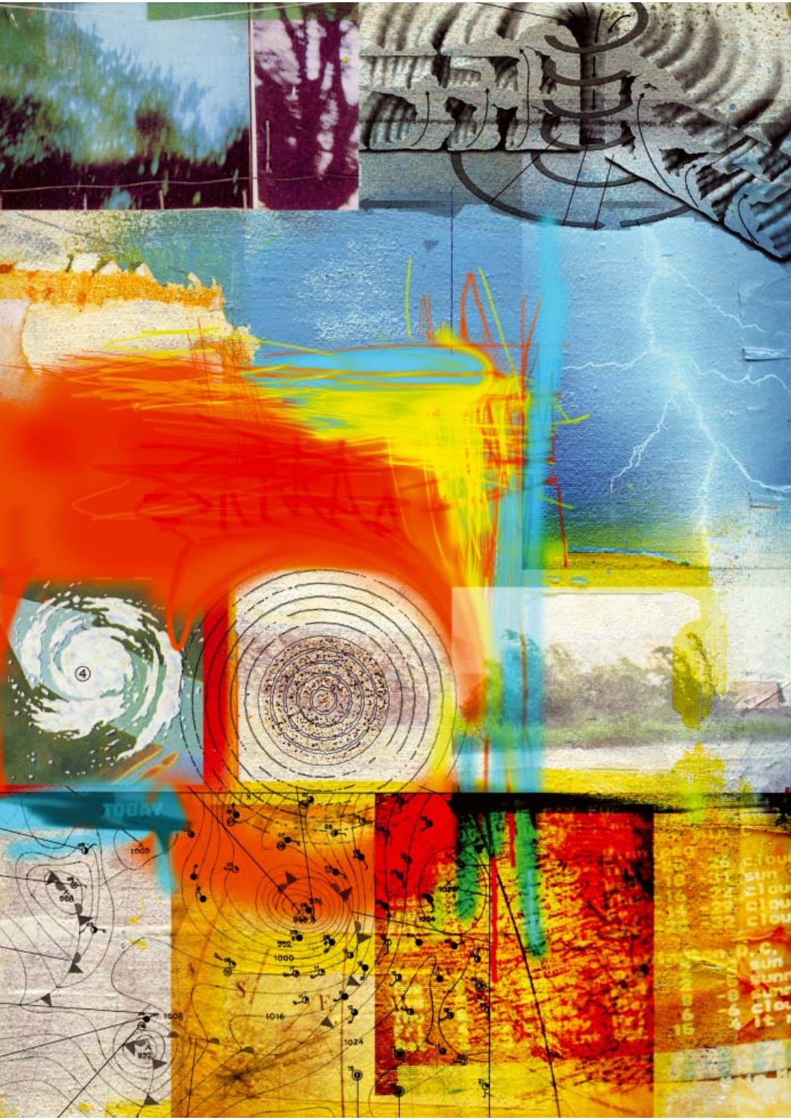